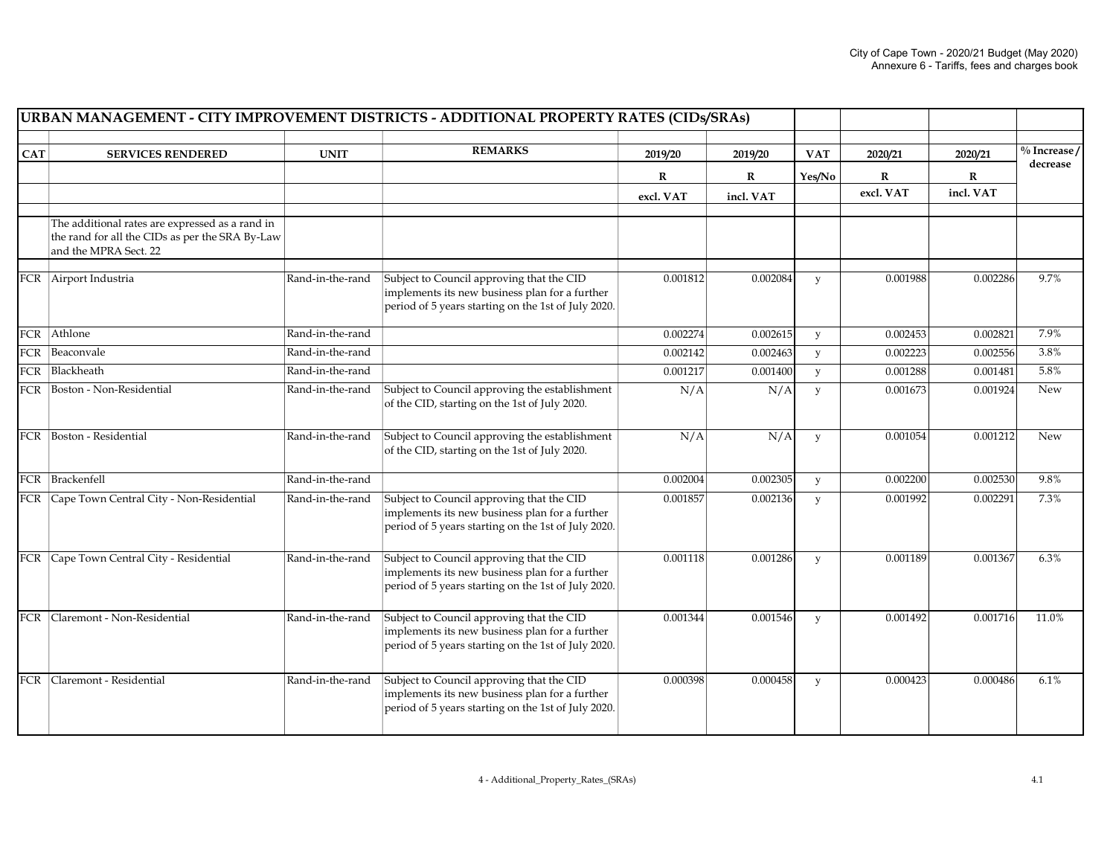|            | URBAN MANAGEMENT - CITY IMPROVEMENT DISTRICTS - ADDITIONAL PROPERTY RATES (CIDs/SRAs)                                       |                  |                                                                                                                                                    |             |             |              |                           |                          |                          |
|------------|-----------------------------------------------------------------------------------------------------------------------------|------------------|----------------------------------------------------------------------------------------------------------------------------------------------------|-------------|-------------|--------------|---------------------------|--------------------------|--------------------------|
| <b>CAT</b> | <b>SERVICES RENDERED</b>                                                                                                    | <b>UNIT</b>      | <b>REMARKS</b>                                                                                                                                     | 2019/20     | 2019/20     | <b>VAT</b>   | 2020/21                   | 2020/21                  | $\frac{0}{0}$ Increase / |
|            |                                                                                                                             |                  |                                                                                                                                                    |             |             |              |                           |                          | decrease                 |
|            |                                                                                                                             |                  |                                                                                                                                                    | $\mathbf R$ | $\mathbf R$ | Yes/No       | $\mathbf{R}$<br>excl. VAT | $\mathbf R$<br>incl. VAT |                          |
|            |                                                                                                                             |                  |                                                                                                                                                    | excl. VAT   | incl. VAT   |              |                           |                          |                          |
|            | The additional rates are expressed as a rand in<br>the rand for all the CIDs as per the SRA By-Law<br>and the MPRA Sect. 22 |                  |                                                                                                                                                    |             |             |              |                           |                          |                          |
|            | FCR Airport Industria                                                                                                       | Rand-in-the-rand | Subject to Council approving that the CID<br>implements its new business plan for a further<br>period of 5 years starting on the 1st of July 2020. | 0.001812    | 0.002084    | y            | 0.001988                  | 0.002286                 | 9.7%                     |
|            | FCR Athlone                                                                                                                 | Rand-in-the-rand |                                                                                                                                                    | 0.002274    | 0.002615    | y            | 0.002453                  | 0.002821                 | 7.9%                     |
|            | FCR Beaconvale                                                                                                              | Rand-in-the-rand |                                                                                                                                                    | 0.002142    | 0.002463    | y            | 0.002223                  | 0.002556                 | 3.8%                     |
|            | FCR Blackheath                                                                                                              | Rand-in-the-rand |                                                                                                                                                    | 0.001217    | 0.001400    | y            | 0.001288                  | 0.001481                 | 5.8%                     |
|            | FCR Boston - Non-Residential                                                                                                | Rand-in-the-rand | Subject to Council approving the establishment<br>of the CID, starting on the 1st of July 2020.                                                    | N/A         | N/A         | y            | 0.001673                  | 0.001924                 | New                      |
|            | FCR  Boston - Residential                                                                                                   | Rand-in-the-rand | Subject to Council approving the establishment<br>of the CID, starting on the 1st of July 2020.                                                    | N/A         | N/A         | y            | 0.001054                  | 0.001212                 | New                      |
|            | FCR Brackenfell                                                                                                             | Rand-in-the-rand |                                                                                                                                                    | 0.002004    | 0.002305    | y            | 0.002200                  | 0.002530                 | 9.8%                     |
|            | FCR Cape Town Central City - Non-Residential                                                                                | Rand-in-the-rand | Subject to Council approving that the CID<br>implements its new business plan for a further<br>period of 5 years starting on the 1st of July 2020. | 0.001857    | 0.002136    | $\mathbf{y}$ | 0.001992                  | 0.002291                 | 7.3%                     |
|            | FCR Cape Town Central City - Residential                                                                                    | Rand-in-the-rand | Subject to Council approving that the CID<br>implements its new business plan for a further<br>period of 5 years starting on the 1st of July 2020. | 0.001118    | 0.001286    | y            | 0.001189                  | 0.001367                 | 6.3%                     |
|            | FCR Claremont - Non-Residential                                                                                             | Rand-in-the-rand | Subject to Council approving that the CID<br>implements its new business plan for a further<br>period of 5 years starting on the 1st of July 2020. | 0.001344    | 0.001546    | y            | 0.001492                  | 0.001716                 | 11.0%                    |
| FCR        | Claremont - Residential                                                                                                     | Rand-in-the-rand | Subject to Council approving that the CID<br>implements its new business plan for a further<br>period of 5 years starting on the 1st of July 2020. | 0.000398    | 0.000458    | y            | 0.000423                  | 0.000486                 | 6.1%                     |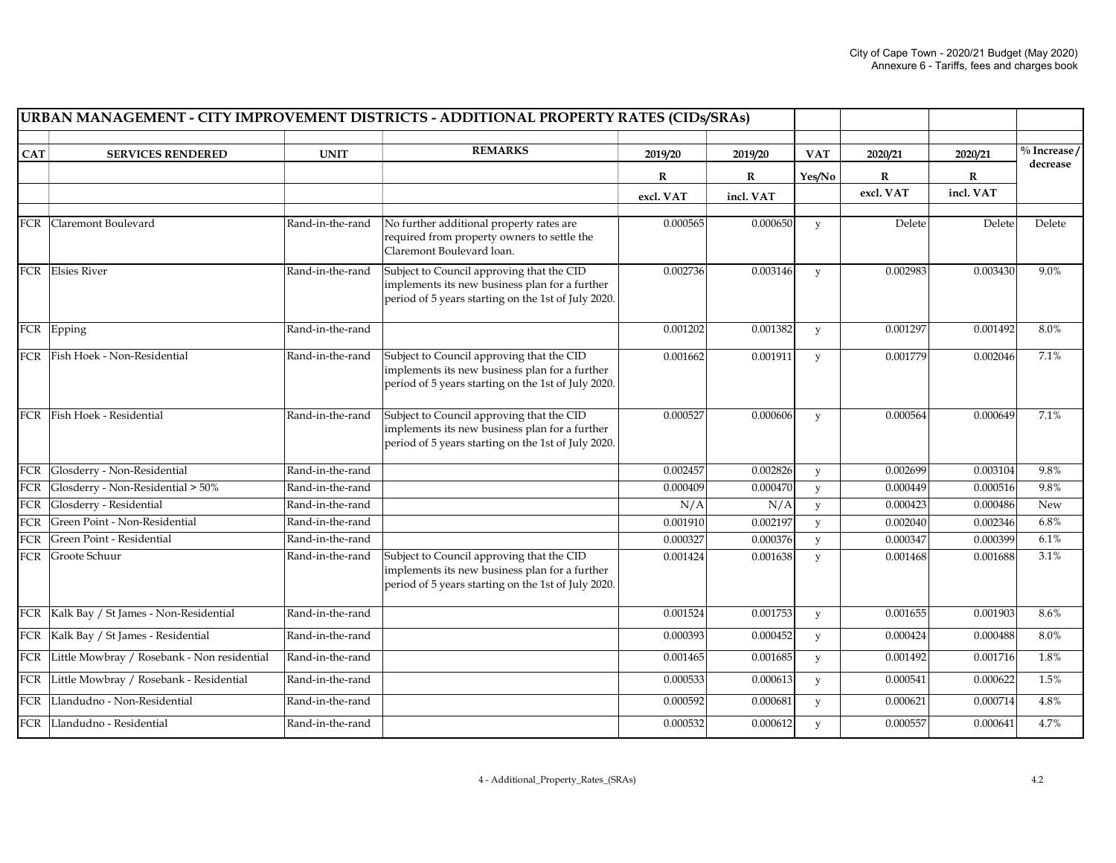|             |                                                 |                  | URBAN MANAGEMENT - CITY IMPROVEMENT DISTRICTS - ADDITIONAL PROPERTY RATES (CIDs/SRAs)                                                              |             |             |              |             |             |                 |
|-------------|-------------------------------------------------|------------------|----------------------------------------------------------------------------------------------------------------------------------------------------|-------------|-------------|--------------|-------------|-------------|-----------------|
| <b>CAT</b>  | <b>SERVICES RENDERED</b>                        | <b>UNIT</b>      | <b>REMARKS</b>                                                                                                                                     | 2019/20     | 2019/20     | <b>VAT</b>   | 2020/21     | 2020/21     | $\%$ Increase / |
|             |                                                 |                  |                                                                                                                                                    |             |             |              |             |             | decrease        |
|             |                                                 |                  |                                                                                                                                                    | $\mathbf R$ | $\mathbf R$ | Yes/No       | $\mathbf R$ | $\mathbf R$ |                 |
|             |                                                 |                  |                                                                                                                                                    | excl. VAT   | incl. VAT   |              | excl. VAT   | incl. VAT   |                 |
|             | FCR Claremont Boulevard                         | Rand-in-the-rand | No further additional property rates are<br>required from property owners to settle the<br>Claremont Boulevard loan.                               | 0.000565    | 0.000650    | y            | Delete      | Delete      | Delete          |
|             | FCR Elsies River                                | Rand-in-the-rand | Subject to Council approving that the CID<br>implements its new business plan for a further<br>period of 5 years starting on the 1st of July 2020. | 0.002736    | 0.003146    | y            | 0.002983    | 0.003430    | 9.0%            |
|             | FCR Epping                                      | Rand-in-the-rand |                                                                                                                                                    | 0.001202    | 0.001382    | y            | 0.001297    | 0.001492    | 8.0%            |
|             | FCR Fish Hoek - Non-Residential                 | Rand-in-the-rand | Subject to Council approving that the CID<br>implements its new business plan for a further<br>period of 5 years starting on the 1st of July 2020. | 0.001662    | 0.001911    | $\mathbf{y}$ | 0.001779    | 0.002046    | 7.1%            |
|             | FCR Fish Hoek - Residential                     | Rand-in-the-rand | Subject to Council approving that the CID<br>implements its new business plan for a further<br>period of 5 years starting on the 1st of July 2020. | 0.000527    | 0.000606    | У            | 0.000564    | 0.000649    | 7.1%            |
| FCR         | Glosderry - Non-Residential                     | Rand-in-the-rand |                                                                                                                                                    | 0.002457    | 0.002826    | y            | 0.002699    | 0.003104    | 9.8%            |
| FCR         | Glosderry - Non-Residential > 50%               | Rand-in-the-rand |                                                                                                                                                    | 0.000409    | 0.000470    | y            | 0.000449    | 0.000516    | 9.8%            |
| FCR         | Glosderry - Residential                         | Rand-in-the-rand |                                                                                                                                                    | N/A         | N/A         | y            | 0.000423    | 0.000486    | New             |
| ${\rm FCR}$ | Green Point - Non-Residential                   | Rand-in-the-rand |                                                                                                                                                    | 0.001910    | 0.002197    | y            | 0.002040    | 0.002346    | 6.8%            |
| ${\rm FCR}$ | Green Point - Residential                       | Rand-in-the-rand |                                                                                                                                                    | 0.000327    | 0.000376    | y            | 0.000347    | 0.000399    | 6.1%            |
| FCR         | Groote Schuur                                   | Rand-in-the-rand | Subject to Council approving that the CID<br>implements its new business plan for a further<br>period of 5 years starting on the 1st of July 2020. | 0.001424    | 0.001638    | y            | 0.001468    | 0.001688    | 3.1%            |
|             | FCR Kalk Bay / St James - Non-Residential       | Rand-in-the-rand |                                                                                                                                                    | 0.001524    | 0.001753    | y            | 0.001655    | 0.001903    | 8.6%            |
|             | FCR   Kalk Bay / St James - Residential         | Rand-in-the-rand |                                                                                                                                                    | 0.000393    | 0.000452    | y            | 0.000424    | 0.000488    | 8.0%            |
|             | FCR Little Mowbray / Rosebank - Non residential | Rand-in-the-rand |                                                                                                                                                    | 0.001465    | 0.001685    | y            | 0.001492    | 0.001716    | 1.8%            |
|             | FCR Little Mowbray / Rosebank - Residential     | Rand-in-the-rand |                                                                                                                                                    | 0.000533    | 0.000613    | y            | 0.000541    | 0.000622    | 1.5%            |
| FCR         | Llandudno - Non-Residential                     | Rand-in-the-rand |                                                                                                                                                    | 0.000592    | 0.000681    | y            | 0.000621    | 0.000714    | 4.8%            |
|             | FCR Llandudno - Residential                     | Rand-in-the-rand |                                                                                                                                                    | 0.000532    | 0.000612    | y            | 0.000557    | 0.000641    | 4.7%            |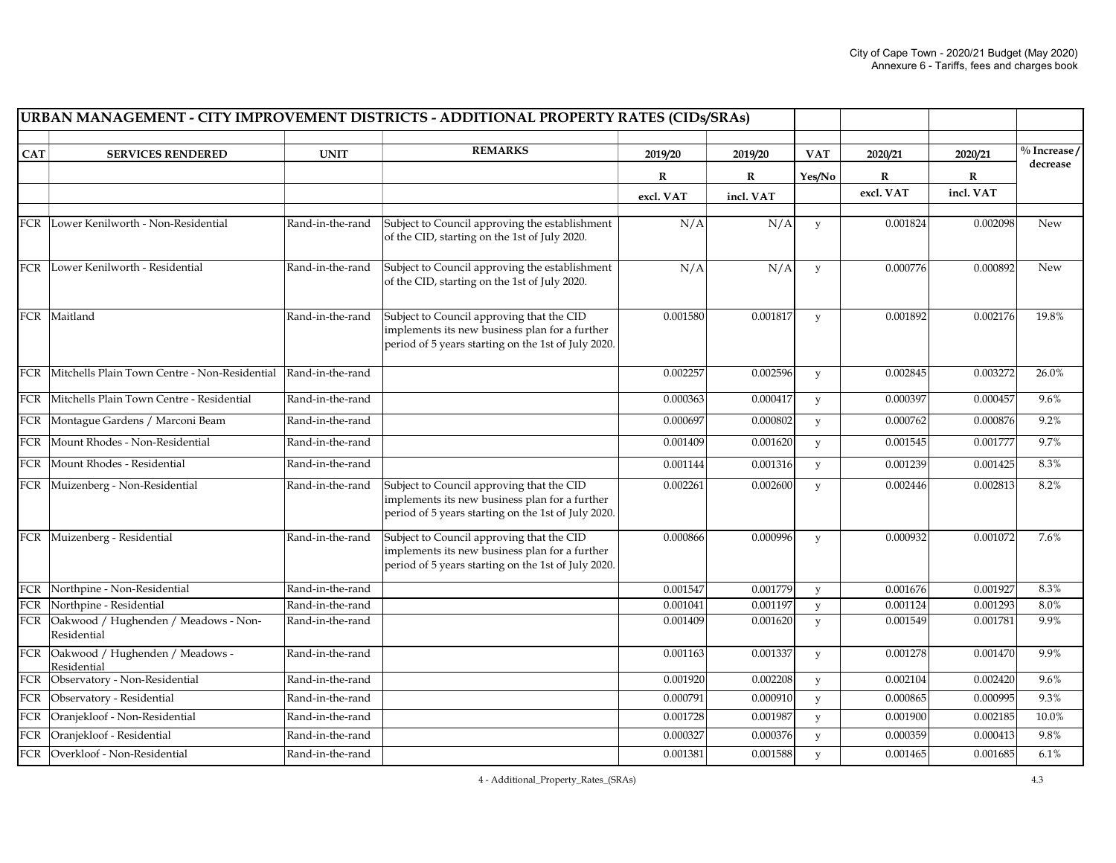|                  |                                                     |                  | URBAN MANAGEMENT - CITY IMPROVEMENT DISTRICTS - ADDITIONAL PROPERTY RATES (CIDs/SRAs)                                                              |           |             |            |           |           |                 |
|------------------|-----------------------------------------------------|------------------|----------------------------------------------------------------------------------------------------------------------------------------------------|-----------|-------------|------------|-----------|-----------|-----------------|
| <b>CAT</b>       | <b>SERVICES RENDERED</b>                            | <b>UNIT</b>      | <b>REMARKS</b>                                                                                                                                     | 2019/20   | 2019/20     | <b>VAT</b> | 2020/21   | 2020/21   | $\%$ Increase / |
|                  |                                                     |                  |                                                                                                                                                    |           |             |            |           |           | decrease        |
|                  |                                                     |                  |                                                                                                                                                    | R         | $\mathbf R$ | Yes/No     | R         | R         |                 |
|                  |                                                     |                  |                                                                                                                                                    | excl. VAT | incl. VAT   |            | excl. VAT | incl. VAT |                 |
|                  | FCR Lower Kenilworth - Non-Residential              | Rand-in-the-rand | Subject to Council approving the establishment<br>of the CID, starting on the 1st of July 2020.                                                    | N/A       | N/A         | y          | 0.001824  | 0.002098  | New             |
|                  | FCR Lower Kenilworth - Residential                  | Rand-in-the-rand | Subject to Council approving the establishment<br>of the CID, starting on the 1st of July 2020.                                                    | N/A       | N/A         | y          | 0.000776  | 0.000892  | New             |
|                  | FCR Maitland                                        | Rand-in-the-rand | Subject to Council approving that the CID<br>implements its new business plan for a further<br>period of 5 years starting on the 1st of July 2020. | 0.001580  | 0.001817    | y          | 0.001892  | 0.002176  | 19.8%           |
| FCR              | Mitchells Plain Town Centre - Non-Residential       | Rand-in-the-rand |                                                                                                                                                    | 0.002257  | 0.002596    | y          | 0.002845  | 0.003272  | 26.0%           |
|                  | FCR Mitchells Plain Town Centre - Residential       | Rand-in-the-rand |                                                                                                                                                    | 0.000363  | 0.000417    | y          | 0.000397  | 0.000457  | 9.6%            |
|                  | FCR   Montague Gardens / Marconi Beam               | Rand-in-the-rand |                                                                                                                                                    | 0.000697  | 0.000802    | y          | 0.000762  | 0.000876  | 9.2%            |
|                  | FCR   Mount Rhodes - Non-Residential                | Rand-in-the-rand |                                                                                                                                                    | 0.001409  | 0.001620    | y          | 0.001545  | 0.001777  | 9.7%            |
| FCR              | Mount Rhodes - Residential                          | Rand-in-the-rand |                                                                                                                                                    | 0.001144  | 0.001316    | y          | 0.001239  | 0.001425  | 8.3%            |
|                  | FCR Muizenberg - Non-Residential                    | Rand-in-the-rand | Subject to Council approving that the CID<br>implements its new business plan for a further<br>period of 5 years starting on the 1st of July 2020. | 0.002261  | 0.002600    | y          | 0.002446  | 0.002813  | 8.2%            |
|                  | FCR Muizenberg - Residential                        | Rand-in-the-rand | Subject to Council approving that the CID<br>implements its new business plan for a further<br>period of 5 years starting on the 1st of July 2020. | 0.000866  | 0.000996    | y          | 0.000932  | 0.001072  | 7.6%            |
|                  | FCR Northpine - Non-Residential                     | Rand-in-the-rand |                                                                                                                                                    | 0.001547  | 0.001779    | y          | 0.001676  | 0.001927  | 8.3%            |
|                  | FCR Northpine - Residential                         | Rand-in-the-rand |                                                                                                                                                    | 0.001041  | 0.001197    | y          | 0.001124  | 0.001293  | 8.0%            |
| FCR              | Oakwood / Hughenden / Meadows - Non-<br>Residential | Rand-in-the-rand |                                                                                                                                                    | 0.001409  | 0.001620    | y          | 0.001549  | 0.001781  | 9.9%            |
| FCR              | Oakwood / Hughenden / Meadows -<br>Residential      | Rand-in-the-rand |                                                                                                                                                    | 0.001163  | 0.001337    | y          | 0.001278  | 0.001470  | 9.9%            |
|                  | FCR Observatory - Non-Residential                   | Rand-in-the-rand |                                                                                                                                                    | 0.001920  | 0.002208    | y          | 0.002104  | 0.002420  | 9.6%            |
| FCR              | Observatory - Residential                           | Rand-in-the-rand |                                                                                                                                                    | 0.000791  | 0.000910    | y          | 0.000865  | 0.000995  | 9.3%            |
| <b>FCR</b>       | Oranjekloof - Non-Residential                       | Rand-in-the-rand |                                                                                                                                                    | 0.001728  | 0.001987    | y          | 0.001900  | 0.002185  | 10.0%           |
| $\overline{FCR}$ | Oranjekloof - Residential                           | Rand-in-the-rand |                                                                                                                                                    | 0.000327  | 0.000376    | y          | 0.000359  | 0.000413  | 9.8%            |
|                  | FCR Overkloof - Non-Residential                     | Rand-in-the-rand |                                                                                                                                                    | 0.001381  | 0.001588    | y          | 0.001465  | 0.001685  | 6.1%            |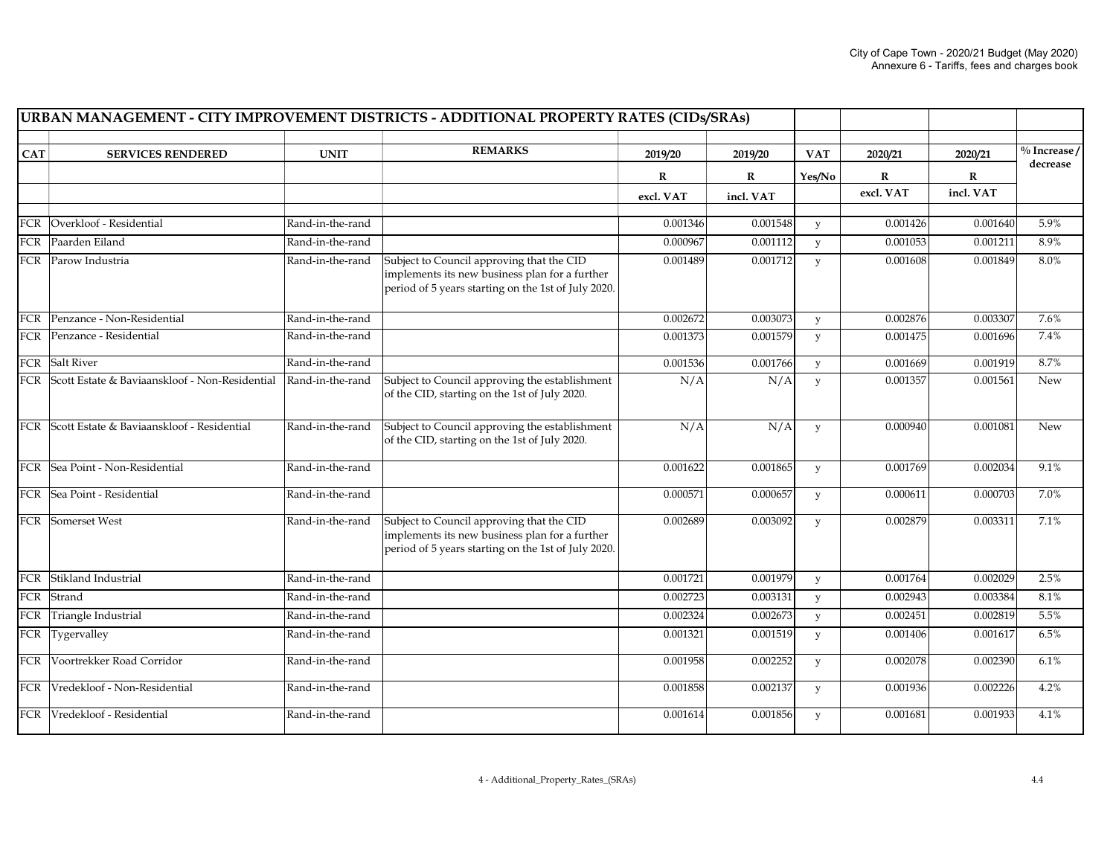| URBAN MANAGEMENT - CITY IMPROVEMENT DISTRICTS - ADDITIONAL PROPERTY RATES (CIDs/SRAs) |                                                    |                  |                                                                                                                                                    |              |             |            |           |             |                                      |
|---------------------------------------------------------------------------------------|----------------------------------------------------|------------------|----------------------------------------------------------------------------------------------------------------------------------------------------|--------------|-------------|------------|-----------|-------------|--------------------------------------|
| <b>CAT</b>                                                                            | <b>SERVICES RENDERED</b>                           | <b>UNIT</b>      | <b>REMARKS</b>                                                                                                                                     | 2019/20      | 2019/20     | <b>VAT</b> | 2020/21   | 2020/21     | $\frac{0}{0}$ Increase /<br>decrease |
|                                                                                       |                                                    |                  |                                                                                                                                                    | $\mathbf{R}$ | $\mathbf R$ | Yes/No     | R         | $\mathbf R$ |                                      |
|                                                                                       |                                                    |                  |                                                                                                                                                    | excl. VAT    | incl. VAT   |            | excl. VAT | incl. VAT   |                                      |
| FCR                                                                                   | Overkloof - Residential                            | Rand-in-the-rand |                                                                                                                                                    | 0.001346     | 0.001548    | y          | 0.001426  | 0.001640    | 5.9%                                 |
|                                                                                       | FCR   Paarden Eiland                               | Rand-in-the-rand |                                                                                                                                                    | 0.000967     | 0.001112    | y          | 0.001053  | 0.001211    | 8.9%                                 |
|                                                                                       | FCR Parow Industria                                | Rand-in-the-rand | Subject to Council approving that the CID<br>implements its new business plan for a further<br>period of 5 years starting on the 1st of July 2020. | 0.001489     | 0.001712    | y          | 0.001608  | 0.001849    | 8.0%                                 |
|                                                                                       | FCR Penzance - Non-Residential                     | Rand-in-the-rand |                                                                                                                                                    | 0.002672     | 0.003073    | y          | 0.002876  | 0.003307    | 7.6%                                 |
|                                                                                       | FCR Penzance - Residential                         | Rand-in-the-rand |                                                                                                                                                    | 0.001373     | 0.001579    | y          | 0.001475  | 0.001696    | 7.4%                                 |
|                                                                                       | FCR Salt River                                     | Rand-in-the-rand |                                                                                                                                                    | 0.001536     | 0.001766    | y          | 0.001669  | 0.001919    | 8.7%                                 |
|                                                                                       | FCR Scott Estate & Baviaanskloof - Non-Residential | Rand-in-the-rand | Subject to Council approving the establishment<br>of the CID, starting on the 1st of July 2020.                                                    | N/A          | N/A         | y          | 0.001357  | 0.001561    | New                                  |
|                                                                                       | FCR Scott Estate & Baviaanskloof - Residential     | Rand-in-the-rand | Subject to Council approving the establishment<br>of the CID, starting on the 1st of July 2020.                                                    | N/A          | N/A         | y          | 0.000940  | 0.001081    | New                                  |
|                                                                                       | FCR Sea Point - Non-Residential                    | Rand-in-the-rand |                                                                                                                                                    | 0.001622     | 0.001865    | y          | 0.001769  | 0.002034    | 9.1%                                 |
|                                                                                       | FCR Sea Point - Residential                        | Rand-in-the-rand |                                                                                                                                                    | 0.000571     | 0.000657    | y          | 0.000611  | 0.000703    | 7.0%                                 |
|                                                                                       | FCR Somerset West                                  | Rand-in-the-rand | Subject to Council approving that the CID<br>implements its new business plan for a further<br>period of 5 years starting on the 1st of July 2020. | 0.002689     | 0.003092    | y          | 0.002879  | 0.003311    | 7.1%                                 |
| <b>FCR</b>                                                                            | Stikland Industrial                                | Rand-in-the-rand |                                                                                                                                                    | 0.001721     | 0.001979    | y          | 0.001764  | 0.002029    | 2.5%                                 |
|                                                                                       | FCR Strand                                         | Rand-in-the-rand |                                                                                                                                                    | 0.002723     | 0.003131    | y          | 0.002943  | 0.003384    | $8.1\%$                              |
|                                                                                       | FCR Triangle Industrial                            | Rand-in-the-rand |                                                                                                                                                    | 0.002324     | 0.002673    | y          | 0.002451  | 0.002819    | 5.5%                                 |
|                                                                                       | FCR Tygervalley                                    | Rand-in-the-rand |                                                                                                                                                    | 0.001321     | 0.001519    | y          | 0.001406  | 0.001617    | 6.5%                                 |
|                                                                                       | FCR Voortrekker Road Corridor                      | Rand-in-the-rand |                                                                                                                                                    | 0.001958     | 0.002252    | y          | 0.002078  | 0.002390    | 6.1%                                 |
|                                                                                       | FCR Vredekloof - Non-Residential                   | Rand-in-the-rand |                                                                                                                                                    | 0.001858     | 0.002137    | y          | 0.001936  | 0.002226    | 4.2%                                 |
|                                                                                       | FCR Vredekloof - Residential                       | Rand-in-the-rand |                                                                                                                                                    | 0.001614     | 0.001856    | y          | 0.001681  | 0.001933    | 4.1%                                 |